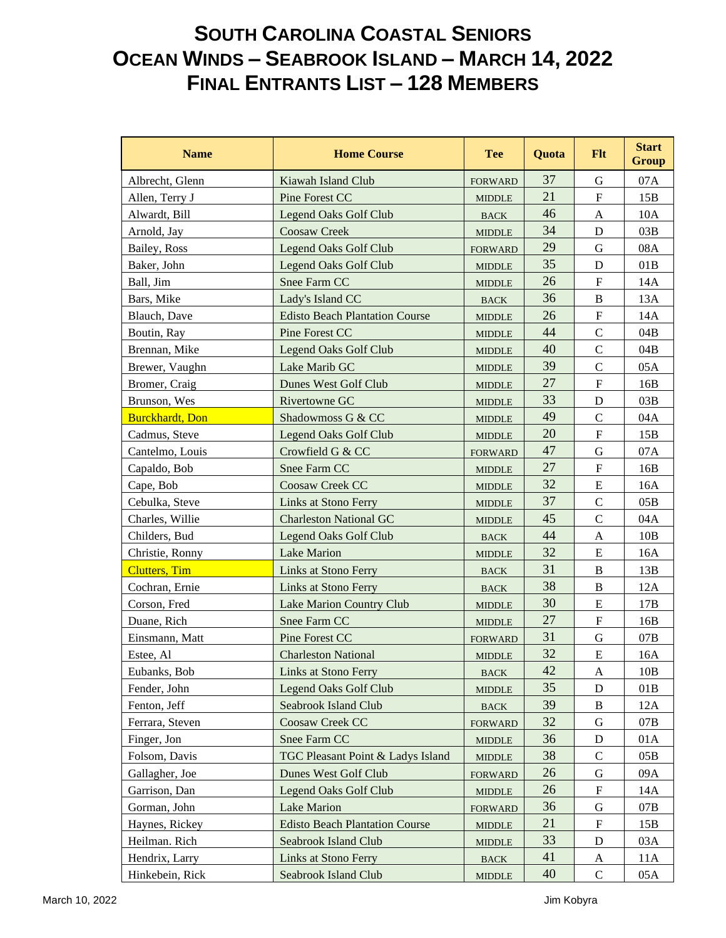## **SOUTH CAROLINA COASTAL SENIORS OCEAN WINDS – SEABROOK ISLAND – MARCH 14, 2022 FINAL ENTRANTS LIST – 128 MEMBERS**

| <b>Name</b>             | <b>Home Course</b>                    | <b>Tee</b>            | <b>Quota</b> | <b>Flt</b>                | <b>Start</b><br><b>Group</b> |
|-------------------------|---------------------------------------|-----------------------|--------------|---------------------------|------------------------------|
| Albrecht, Glenn         | Kiawah Island Club                    | <b>FORWARD</b>        | 37           | G                         | 07A                          |
| Allen, Terry J          | Pine Forest CC                        | <b>MIDDLE</b>         | 21           | ${\bf F}$                 | 15B                          |
| Alwardt, Bill           | <b>Legend Oaks Golf Club</b>          | <b>BACK</b>           | 46           | A                         | 10A                          |
| Arnold, Jay             | <b>Coosaw Creek</b>                   | <b>MIDDLE</b>         | 34           | D                         | 03B                          |
| Bailey, Ross            | <b>Legend Oaks Golf Club</b>          | <b>FORWARD</b>        | 29           | G                         | 08A                          |
| Baker, John             | <b>Legend Oaks Golf Club</b>          | <b>MIDDLE</b>         | 35           | D                         | 01B                          |
| Ball, Jim               | Snee Farm CC                          | <b>MIDDLE</b>         | 26           | $\boldsymbol{\mathrm{F}}$ | 14A                          |
| Bars, Mike              | Lady's Island CC                      | <b>BACK</b>           | 36           | $\bf{B}$                  | 13A                          |
| Blauch, Dave            | <b>Edisto Beach Plantation Course</b> | <b>MIDDLE</b>         | 26           | $\boldsymbol{\mathrm{F}}$ | 14A                          |
| Boutin, Ray             | Pine Forest CC                        | <b>MIDDLE</b>         | 44           | $\mathbf C$               | 04B                          |
| Brennan, Mike           | <b>Legend Oaks Golf Club</b>          | <b>MIDDLE</b>         | 40           | $\mathsf C$               | 04B                          |
| Brewer, Vaughn          | Lake Marib GC                         | <b>MIDDLE</b>         | 39           | $\overline{C}$            | 05A                          |
| Bromer, Craig           | Dunes West Golf Club                  | <b>MIDDLE</b>         | 27           | $\mathbf F$               | 16B                          |
| Brunson, Wes            | <b>Rivertowne GC</b>                  | <b>MIDDLE</b>         | 33           | D                         | 03B                          |
| <b>Burckhardt</b> , Don | Shadowmoss G & CC                     | <b>MIDDLE</b>         | 49           | $\mathbf C$               | 04A                          |
| Cadmus, Steve           | <b>Legend Oaks Golf Club</b>          | <b>MIDDLE</b>         | 20           | ${\bf F}$                 | 15B                          |
| Cantelmo, Louis         | Crowfield G & CC                      | <b>FORWARD</b>        | 47           | G                         | 07A                          |
| Capaldo, Bob            | Snee Farm CC                          | <b>MIDDLE</b>         | 27           | $\mathbf F$               | 16B                          |
| Cape, Bob               | Coosaw Creek CC                       | <b>MIDDLE</b>         | 32           | E                         | 16A                          |
| Cebulka, Steve          | Links at Stono Ferry                  | <b>MIDDLE</b>         | 37           | $\mathbf C$               | 05B                          |
| Charles, Willie         | <b>Charleston National GC</b>         | <b>MIDDLE</b>         | 45           | $\mathbf C$               | 04A                          |
| Childers, Bud           | <b>Legend Oaks Golf Club</b>          | <b>BACK</b>           | 44           | A                         | 10B                          |
| Christie, Ronny         | <b>Lake Marion</b>                    | <b>MIDDLE</b>         | 32           | E                         | 16A                          |
| <b>Clutters</b> , Tim   | Links at Stono Ferry                  | <b>BACK</b>           | 31           | B                         | 13B                          |
| Cochran, Ernie          | Links at Stono Ferry                  | <b>BACK</b>           | 38           | $\, {\bf B}$              | 12A                          |
| Corson, Fred            | <b>Lake Marion Country Club</b>       | <b>MIDDLE</b>         | 30           | E                         | 17B                          |
| Duane, Rich             | Snee Farm CC                          | <b>MIDDLE</b>         | 27           | $\boldsymbol{\mathrm{F}}$ | 16B                          |
| Einsmann, Matt          | Pine Forest CC                        | <b>FORWARD</b>        | 31           | $\mathbf G$               | 07B                          |
| Estee, Al               | <b>Charleston National</b>            | <b>MIDDLE</b>         | 32           | $\mathbf E$               | 16A                          |
| Eubanks, Bob            | Links at Stono Ferry                  | <b>BACK</b>           | 42           | A                         | 10B                          |
| Fender, John            | <b>Legend Oaks Golf Club</b>          | <b>MIDDLE</b>         | 35           | D                         | 01B                          |
| Fenton, Jeff            | Seabrook Island Club                  | $\operatorname{BACK}$ | 39           | $\, {\bf B}$              | 12A                          |
| Ferrara, Steven         | Coosaw Creek CC                       | <b>FORWARD</b>        | 32           | G                         | 07B                          |
| Finger, Jon             | Snee Farm CC                          | <b>MIDDLE</b>         | 36           | D                         | 01A                          |
| Folsom, Davis           | TGC Pleasant Point & Ladys Island     | MIDDLE                | 38           | $\mathsf{C}$              | 05B                          |
| Gallagher, Joe          | Dunes West Golf Club                  | <b>FORWARD</b>        | 26           | G                         | 09A                          |
| Garrison, Dan           | Legend Oaks Golf Club                 | <b>MIDDLE</b>         | 26           | $\boldsymbol{\mathrm{F}}$ | 14A                          |
| Gorman, John            | <b>Lake Marion</b>                    | <b>FORWARD</b>        | 36           | $\mathbf G$               | 07B                          |
| Haynes, Rickey          | <b>Edisto Beach Plantation Course</b> | <b>MIDDLE</b>         | 21           | $\boldsymbol{\mathrm{F}}$ | 15B                          |
| Heilman. Rich           | Seabrook Island Club                  | <b>MIDDLE</b>         | 33           | D                         | 03A                          |
| Hendrix, Larry          | Links at Stono Ferry                  | <b>BACK</b>           | 41           | A                         | 11A                          |
| Hinkebein, Rick         | Seabrook Island Club                  | <b>MIDDLE</b>         | 40           | $\mathbf C$               | 05A                          |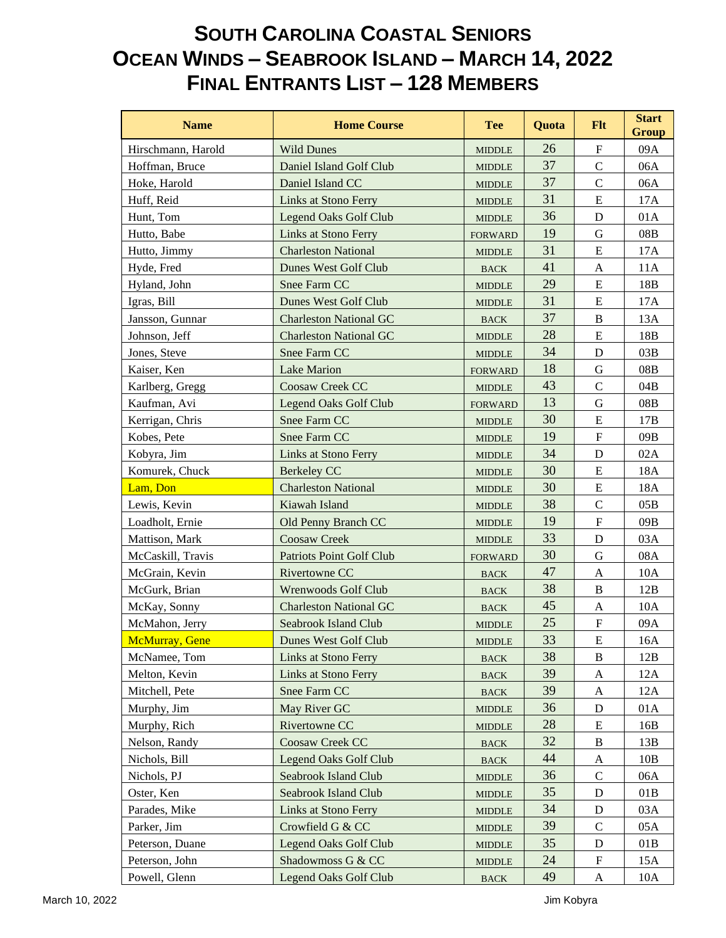## **SOUTH CAROLINA COASTAL SENIORS OCEAN WINDS – SEABROOK ISLAND – MARCH 14, 2022 FINAL ENTRANTS LIST – 128 MEMBERS**

| <b>Name</b>        | <b>Home Course</b>              | <b>Tee</b>                      | Quota | <b>Flt</b>                | <b>Start</b><br><b>Group</b> |
|--------------------|---------------------------------|---------------------------------|-------|---------------------------|------------------------------|
| Hirschmann, Harold | <b>Wild Dunes</b>               | <b>MIDDLE</b>                   | 26    | $\mathbf{F}$              | 09A                          |
| Hoffman, Bruce     | Daniel Island Golf Club         | <b>MIDDLE</b>                   | 37    | $\mathbf C$               | 06A                          |
| Hoke, Harold       | Daniel Island CC                | <b>MIDDLE</b>                   | 37    | $\mathsf{C}$              | 06A                          |
| Huff, Reid         | Links at Stono Ferry            | <b>MIDDLE</b>                   | 31    | E                         | 17A                          |
| Hunt, Tom          | <b>Legend Oaks Golf Club</b>    | <b>MIDDLE</b>                   | 36    | $\mathbf D$               | 01A                          |
| Hutto, Babe        | <b>Links at Stono Ferry</b>     | <b>FORWARD</b>                  | 19    | G                         | $08\mathrm{B}$               |
| Hutto, Jimmy       | <b>Charleston National</b>      | <b>MIDDLE</b>                   | 31    | E                         | 17A                          |
| Hyde, Fred         | Dunes West Golf Club            | <b>BACK</b>                     | 41    | A                         | 11A                          |
| Hyland, John       | Snee Farm CC                    | <b>MIDDLE</b>                   | 29    | ${\bf E}$                 | 18B                          |
| Igras, Bill        | Dunes West Golf Club            | <b>MIDDLE</b>                   | 31    | E                         | 17A                          |
| Jansson, Gunnar    | <b>Charleston National GC</b>   | <b>BACK</b>                     | 37    | B                         | 13A                          |
| Johnson, Jeff      | <b>Charleston National GC</b>   | <b>MIDDLE</b>                   | 28    | ${\bf E}$                 | 18B                          |
| Jones, Steve       | Snee Farm CC                    | <b>MIDDLE</b>                   | 34    | D                         | 03B                          |
| Kaiser, Ken        | <b>Lake Marion</b>              | <b>FORWARD</b>                  | 18    | $\mathbf G$               | 08B                          |
| Karlberg, Gregg    | <b>Coosaw Creek CC</b>          | <b>MIDDLE</b>                   | 43    | $\mathcal{C}$             | 04B                          |
| Kaufman, Avi       | <b>Legend Oaks Golf Club</b>    | <b>FORWARD</b>                  | 13    | $\mathbf G$               | 08B                          |
| Kerrigan, Chris    | Snee Farm CC                    | <b>MIDDLE</b>                   | 30    | ${\bf E}$                 | 17B                          |
| Kobes, Pete        | Snee Farm CC                    | <b>MIDDLE</b>                   | 19    | $\boldsymbol{\mathrm{F}}$ | 09B                          |
| Kobyra, Jim        | Links at Stono Ferry            | <b>MIDDLE</b>                   | 34    | $\mathbf D$               | 02A                          |
| Komurek, Chuck     | <b>Berkeley CC</b>              | <b>MIDDLE</b>                   | 30    | ${\bf E}$                 | 18A                          |
| Lam, Don           | <b>Charleston National</b>      | <b>MIDDLE</b>                   | 30    | E                         | 18A                          |
| Lewis, Kevin       | Kiawah Island                   | <b>MIDDLE</b>                   | 38    | $\mathbf C$               | 05B                          |
| Loadholt, Ernie    | Old Penny Branch CC             | <b>MIDDLE</b>                   | 19    | $\boldsymbol{\mathrm{F}}$ | 09B                          |
| Mattison, Mark     | <b>Coosaw Creek</b>             | <b>MIDDLE</b>                   | 33    | D                         | 03A                          |
| McCaskill, Travis  | <b>Patriots Point Golf Club</b> | <b>FORWARD</b>                  | 30    | $\mathbf G$               | 08A                          |
| McGrain, Kevin     | Rivertowne CC                   | <b>BACK</b>                     | 47    | $\mathbf{A}$              | 10A                          |
| McGurk, Brian      | Wrenwoods Golf Club             | <b>BACK</b>                     | 38    | B                         | 12B                          |
| McKay, Sonny       | <b>Charleston National GC</b>   | <b>BACK</b>                     | 45    | A                         | 10A                          |
| McMahon, Jerry     | Seabrook Island Club            | <b>MIDDLE</b>                   | 25    | $\boldsymbol{\mathrm{F}}$ | 09A                          |
| McMurray, Gene     | Dunes West Golf Club            | <b>MIDDLE</b>                   | 33    | ${\bf E}$                 | 16A                          |
| McNamee, Tom       | Links at Stono Ferry            | <b>BACK</b>                     | 38    | B                         | 12B                          |
| Melton, Kevin      | Links at Stono Ferry            | <b>BACK</b>                     | 39    | A                         | 12A                          |
| Mitchell, Pete     | Snee Farm CC                    | $\operatorname{BACK}$           | 39    | A                         | 12A                          |
| Murphy, Jim        | May River GC                    | <b>MIDDLE</b>                   | 36    | D                         | 01A                          |
| Murphy, Rich       | <b>Rivertowne CC</b>            | <b>MIDDLE</b>                   | 28    | E                         | 16B                          |
| Nelson, Randy      | Coosaw Creek CC                 | <b>BACK</b>                     | 32    | B                         | 13B                          |
| Nichols, Bill      | <b>Legend Oaks Golf Club</b>    | $_{\mbox{\footnotesize{BACK}}}$ | 44    | A                         | 10B                          |
| Nichols, PJ        | <b>Seabrook Island Club</b>     | <b>MIDDLE</b>                   | 36    | $\mathsf{C}$              | 06A                          |
| Oster, Ken         | Seabrook Island Club            | <b>MIDDLE</b>                   | 35    | D                         | 01B                          |
| Parades, Mike      | Links at Stono Ferry            | <b>MIDDLE</b>                   | 34    | D                         | 03A                          |
| Parker, Jim        | Crowfield G & CC                | <b>MIDDLE</b>                   | 39    | $\mathbf C$               | 05A                          |
| Peterson, Duane    | Legend Oaks Golf Club           | <b>MIDDLE</b>                   | 35    | D                         | 01B                          |
| Peterson, John     | Shadowmoss G & CC               | <b>MIDDLE</b>                   | 24    | $\boldsymbol{\mathrm{F}}$ | 15A                          |
| Powell, Glenn      | <b>Legend Oaks Golf Club</b>    | $\operatorname{BACK}$           | 49    | $\mathbf{A}$              | 10A                          |